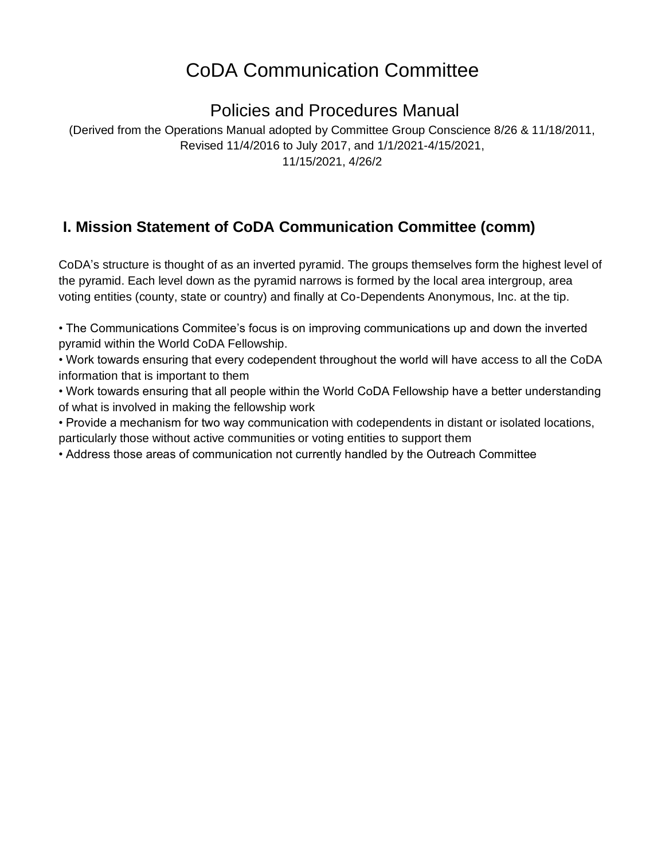# CoDA Communication Committee

# Policies and Procedures Manual

(Derived from the Operations Manual adopted by Committee Group Conscience 8/26 & 11/18/2011, Revised 11/4/2016 to July 2017, and 1/1/2021-4/15/2021, 11/15/2021, 4/26/2

# **I. Mission Statement of CoDA Communication Committee (comm)**

CoDA's structure is thought of as an inverted pyramid. The groups themselves form the highest level of the pyramid. Each level down as the pyramid narrows is formed by the local area intergroup, area voting entities (county, state or country) and finally at Co-Dependents Anonymous, Inc. at the tip.

• The Communications Commitee's focus is on improving communications up and down the inverted pyramid within the World CoDA Fellowship.

• Work towards ensuring that every codependent throughout the world will have access to all the CoDA information that is important to them

• Work towards ensuring that all people within the World CoDA Fellowship have a better understanding of what is involved in making the fellowship work

• Provide a mechanism for two way communication with codependents in distant or isolated locations, particularly those without active communities or voting entities to support them

• Address those areas of communication not currently handled by the Outreach Committee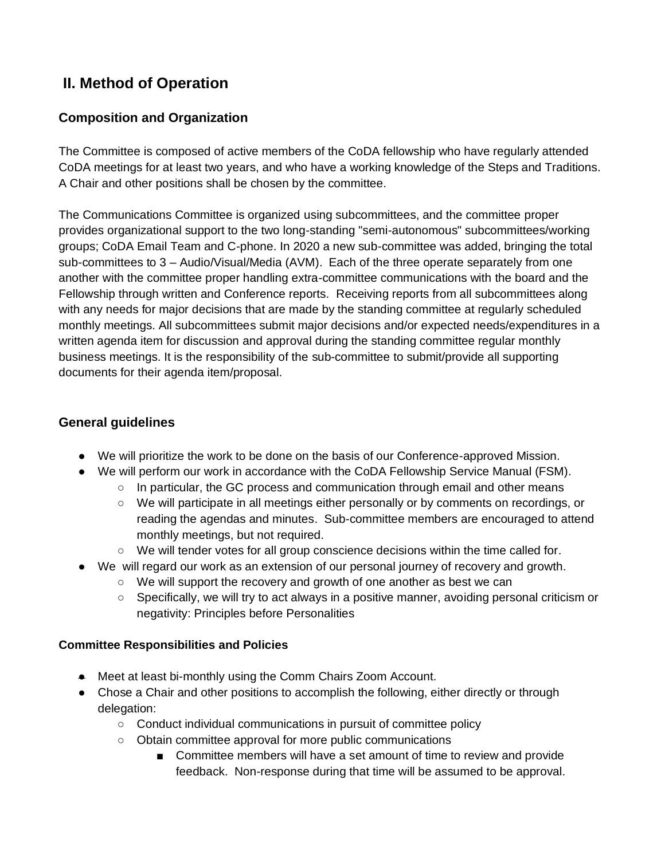## **II. Method of Operation**

#### **Composition and Organization**

The Committee is composed of active members of the CoDA fellowship who have regularly attended CoDA meetings for at least two years, and who have a working knowledge of the Steps and Traditions. A Chair and other positions shall be chosen by the committee.

The Communications Committee is organized using subcommittees, and the committee proper provides organizational support to the two long-standing "semi-autonomous" subcommittees/working groups; CoDA Email Team and C-phone. In 2020 a new sub-committee was added, bringing the total sub-committees to 3 – Audio/Visual/Media (AVM). Each of the three operate separately from one another with the committee proper handling extra-committee communications with the board and the Fellowship through written and Conference reports. Receiving reports from all subcommittees along with any needs for major decisions that are made by the standing committee at regularly scheduled monthly meetings. All subcommittees submit major decisions and/or expected needs/expenditures in a written agenda item for discussion and approval during the standing committee regular monthly business meetings. It is the responsibility of the sub-committee to submit/provide all supporting documents for their agenda item/proposal.

#### **General guidelines**

- We will prioritize the work to be done on the basis of our Conference-approved Mission.
- We will perform our work in accordance with the CoDA Fellowship Service Manual (FSM).
	- $\circ$  In particular, the GC process and communication through email and other means
	- We will participate in all meetings either personally or by comments on recordings, or reading the agendas and minutes. Sub-committee members are encouraged to attend monthly meetings, but not required.
	- We will tender votes for all group conscience decisions within the time called for.
- We will regard our work as an extension of our personal journey of recovery and growth.
	- We will support the recovery and growth of one another as best we can
	- Specifically, we will try to act always in a positive manner, avoiding personal criticism or negativity: Principles before Personalities

#### **Committee Responsibilities and Policies**

- Meet at least bi-monthly using the Comm Chairs Zoom Account.
- Chose a Chair and other positions to accomplish the following, either directly or through delegation:
	- Conduct individual communications in pursuit of committee policy
	- Obtain committee approval for more public communications
		- Committee members will have a set amount of time to review and provide feedback. Non-response during that time will be assumed to be approval.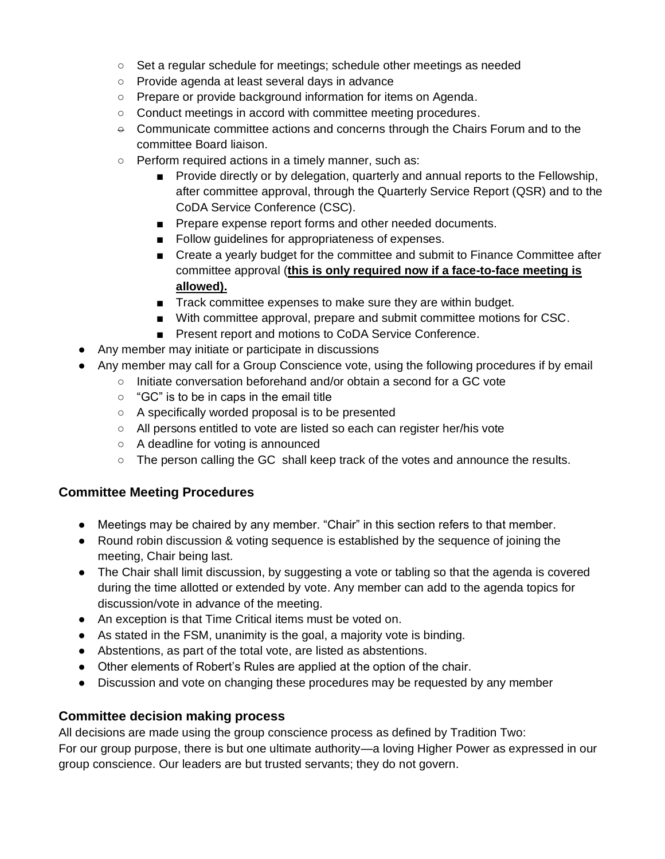- Set a regular schedule for meetings; schedule other meetings as needed
- Provide agenda at least several days in advance
- Prepare or provide background information for items on Agenda.
- Conduct meetings in accord with committee meeting procedures.
- $\div$  Communicate committee actions and concerns through the Chairs Forum and to the committee Board liaison.
- Perform required actions in a timely manner, such as:
	- Provide directly or by delegation, quarterly and annual reports to the Fellowship, after committee approval, through the Quarterly Service Report (QSR) and to the CoDA Service Conference (CSC).
	- Prepare expense report forms and other needed documents.
	- Follow guidelines for appropriateness of expenses.
	- Create a yearly budget for the committee and submit to Finance Committee after committee approval (**this is only required now if a face-to-face meeting is allowed).**
	- Track committee expenses to make sure they are within budget.
	- With committee approval, prepare and submit committee motions for CSC.
	- Present report and motions to CoDA Service Conference.
- Any member may initiate or participate in discussions
- Any member may call for a Group Conscience vote, using the following procedures if by email
	- Initiate conversation beforehand and/or obtain a second for a GC vote
	- $\circ$  "GC" is to be in caps in the email title
	- A specifically worded proposal is to be presented
	- All persons entitled to vote are listed so each can register her/his vote
	- A deadline for voting is announced
	- $\circ$  The person calling the GC shall keep track of the votes and announce the results.

#### **Committee Meeting Procedures**

- Meetings may be chaired by any member. "Chair" in this section refers to that member.
- Round robin discussion & voting sequence is established by the sequence of joining the meeting, Chair being last.
- The Chair shall limit discussion, by suggesting a vote or tabling so that the agenda is covered during the time allotted or extended by vote. Any member can add to the agenda topics for discussion/vote in advance of the meeting.
- An exception is that Time Critical items must be voted on.
- As stated in the FSM, unanimity is the goal, a majority vote is binding.
- Abstentions, as part of the total vote, are listed as abstentions.
- Other elements of Robert's Rules are applied at the option of the chair.
- Discussion and vote on changing these procedures may be requested by any member

#### **Committee decision making process**

All decisions are made using the group conscience process as defined by Tradition Two: For our group purpose, there is but one ultimate authority—a loving Higher Power as expressed in our group conscience. Our leaders are but trusted servants; they do not govern.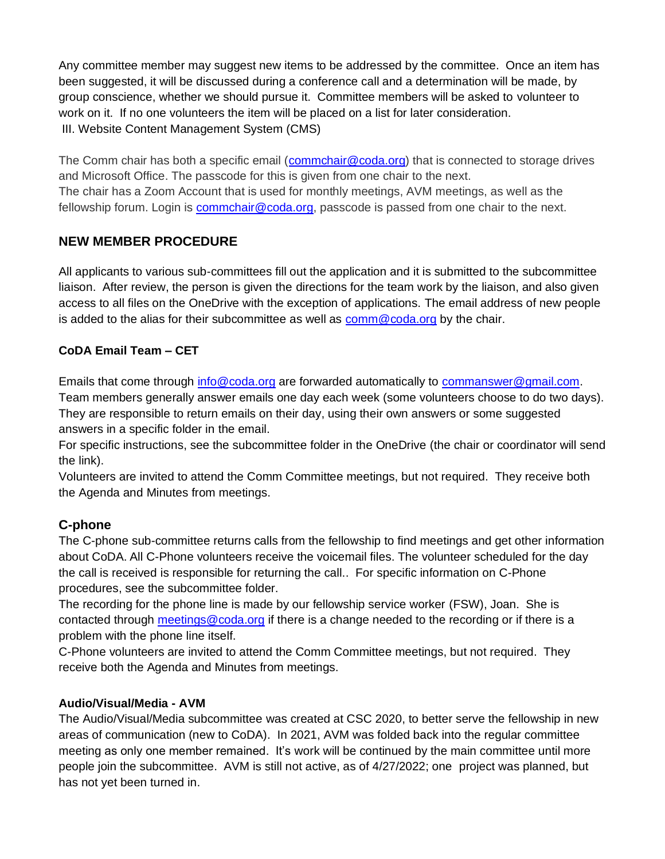Any committee member may suggest new items to be addressed by the committee. Once an item has been suggested, it will be discussed during a conference call and a determination will be made, by group conscience, whether we should pursue it. Committee members will be asked to volunteer to work on it. If no one volunteers the item will be placed on a list for later consideration. III. Website Content Management System (CMS)

The Comm chair has both a specific email [\(commchair@coda.org\)](mailto:commchair@coda.org) that is connected to storage drives and Microsoft Office. The passcode for this is given from one chair to the next. The chair has a Zoom Account that is used for monthly meetings, AVM meetings, as well as the fellowship forum. Login is [commchair@coda.org,](mailto:connchair@coda.org) passcode is passed from one chair to the next.

#### **NEW MEMBER PROCEDURE**

All applicants to various sub-committees fill out the application and it is submitted to the subcommittee liaison. After review, the person is given the directions for the team work by the liaison, and also given access to all files on the OneDrive with the exception of applications. The email address of new people is added to the alias for their subcommittee as well as  $comm@code.org$  by the chair.

#### **CoDA Email Team – CET**

Emails that come through [info@coda.org](mailto:info@coda.org) are forwarded automatically to [commanswer@gmail.com.](mailto:commanswer@gmail.com)

Team members generally answer emails one day each week (some volunteers choose to do two days). They are responsible to return emails on their day, using their own answers or some suggested answers in a specific folder in the email.

For specific instructions, see the subcommittee folder in the OneDrive (the chair or coordinator will send the link).

Volunteers are invited to attend the Comm Committee meetings, but not required. They receive both the Agenda and Minutes from meetings.

### **C-phone**

The C-phone sub-committee returns calls from the fellowship to find meetings and get other information about CoDA. All C-Phone volunteers receive the voicemail files. The volunteer scheduled for the day the call is received is responsible for returning the call.. For specific information on C-Phone procedures, see the subcommittee folder.

The recording for the phone line is made by our fellowship service worker (FSW), Joan. She is contacted through [meetings@coda.org](mailto:meetings@coda.org) if there is a change needed to the recording or if there is a problem with the phone line itself.

C-Phone volunteers are invited to attend the Comm Committee meetings, but not required. They receive both the Agenda and Minutes from meetings.

#### **Audio/Visual/Media - AVM**

The Audio/Visual/Media subcommittee was created at CSC 2020, to better serve the fellowship in new areas of communication (new to CoDA). In 2021, AVM was folded back into the regular committee meeting as only one member remained. It's work will be continued by the main committee until more people join the subcommittee. AVM is still not active, as of 4/27/2022; one project was planned, but has not yet been turned in.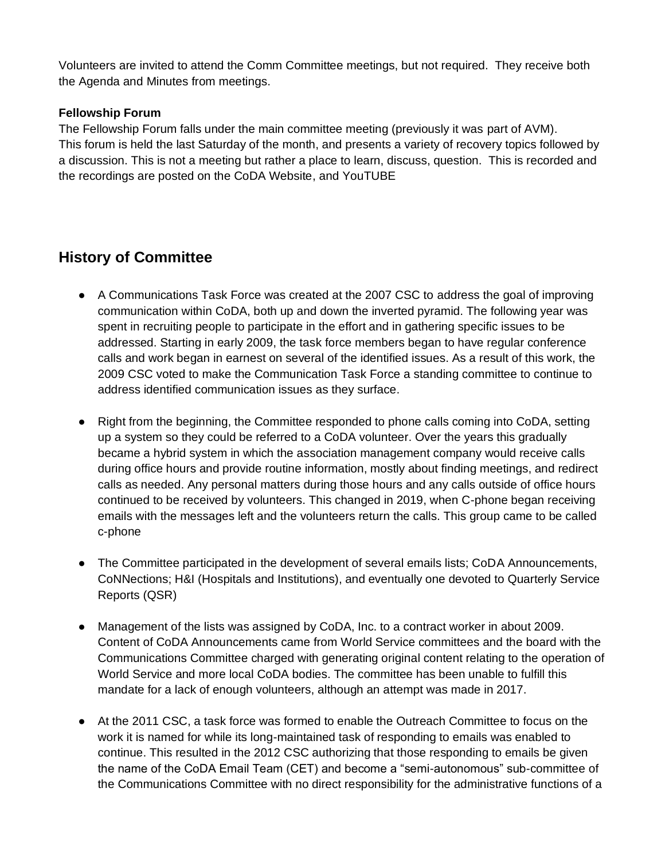Volunteers are invited to attend the Comm Committee meetings, but not required. They receive both the Agenda and Minutes from meetings.

#### **Fellowship Forum**

The Fellowship Forum falls under the main committee meeting (previously it was part of AVM). This forum is held the last Saturday of the month, and presents a variety of recovery topics followed by a discussion. This is not a meeting but rather a place to learn, discuss, question. This is recorded and the recordings are posted on the CoDA Website, and YouTUBE

### **History of Committee**

- A Communications Task Force was created at the 2007 CSC to address the goal of improving communication within CoDA, both up and down the inverted pyramid. The following year was spent in recruiting people to participate in the effort and in gathering specific issues to be addressed. Starting in early 2009, the task force members began to have regular conference calls and work began in earnest on several of the identified issues. As a result of this work, the 2009 CSC voted to make the Communication Task Force a standing committee to continue to address identified communication issues as they surface.
- Right from the beginning, the Committee responded to phone calls coming into CoDA, setting up a system so they could be referred to a CoDA volunteer. Over the years this gradually became a hybrid system in which the association management company would receive calls during office hours and provide routine information, mostly about finding meetings, and redirect calls as needed. Any personal matters during those hours and any calls outside of office hours continued to be received by volunteers. This changed in 2019, when C-phone began receiving emails with the messages left and the volunteers return the calls. This group came to be called c-phone
- The Committee participated in the development of several emails lists; CoDA Announcements, CoNNections; H&I (Hospitals and Institutions), and eventually one devoted to Quarterly Service Reports (QSR)
- Management of the lists was assigned by CoDA, Inc. to a contract worker in about 2009. Content of CoDA Announcements came from World Service committees and the board with the Communications Committee charged with generating original content relating to the operation of World Service and more local CoDA bodies. The committee has been unable to fulfill this mandate for a lack of enough volunteers, although an attempt was made in 2017.
- At the 2011 CSC, a task force was formed to enable the Outreach Committee to focus on the work it is named for while its long-maintained task of responding to emails was enabled to continue. This resulted in the 2012 CSC authorizing that those responding to emails be given the name of the CoDA Email Team (CET) and become a "semi-autonomous" sub-committee of the Communications Committee with no direct responsibility for the administrative functions of a